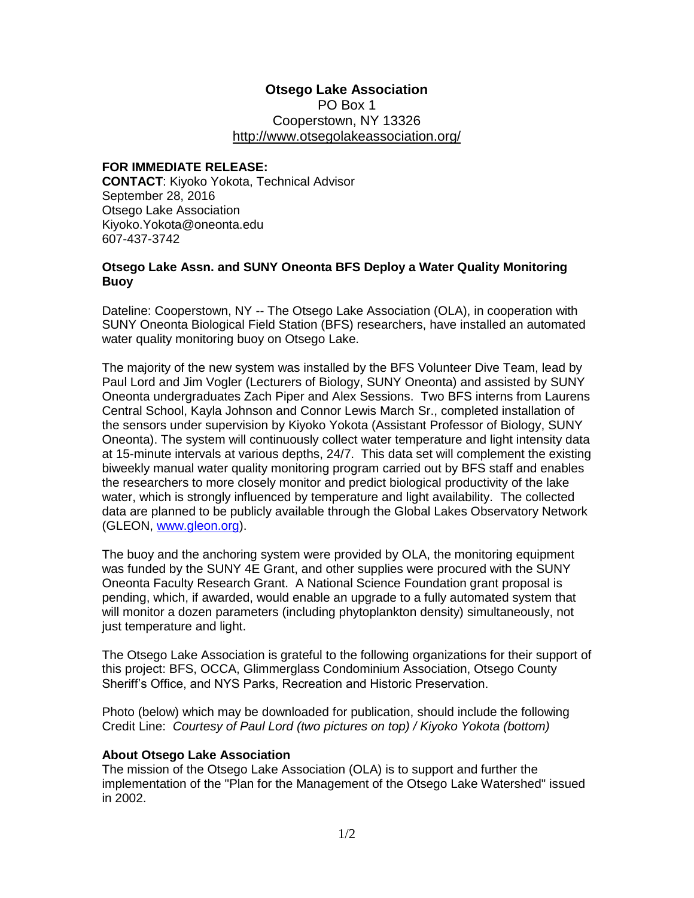## **Otsego Lake Association**

PO Box 1 Cooperstown, NY 13326 <http://www.otsegolakeassociation.org/>

## **FOR IMMEDIATE RELEASE:**

**CONTACT**: Kiyoko Yokota, Technical Advisor September 28, 2016 Otsego Lake Association Kiyoko.Yokota@oneonta.edu 607-437-3742

## **Otsego Lake Assn. and SUNY Oneonta BFS Deploy a Water Quality Monitoring Buoy**

Dateline: Cooperstown, NY -- The Otsego Lake Association (OLA), in cooperation with SUNY Oneonta Biological Field Station (BFS) researchers, have installed an automated water quality monitoring buoy on Otsego Lake.

The majority of the new system was installed by the BFS Volunteer Dive Team, lead by Paul Lord and Jim Vogler (Lecturers of Biology, SUNY Oneonta) and assisted by SUNY Oneonta undergraduates Zach Piper and Alex Sessions. Two BFS interns from Laurens Central School, Kayla Johnson and Connor Lewis March Sr., completed installation of the sensors under supervision by Kiyoko Yokota (Assistant Professor of Biology, SUNY Oneonta). The system will continuously collect water temperature and light intensity data at 15-minute intervals at various depths, 24/7. This data set will complement the existing biweekly manual water quality monitoring program carried out by BFS staff and enables the researchers to more closely monitor and predict biological productivity of the lake water, which is strongly influenced by temperature and light availability. The collected data are planned to be publicly available through the Global Lakes Observatory Network (GLEON, [www.gleon.org\)](http://www.gleon.org/).

The buoy and the anchoring system were provided by OLA, the monitoring equipment was funded by the SUNY 4E Grant, and other supplies were procured with the SUNY Oneonta Faculty Research Grant. A National Science Foundation grant proposal is pending, which, if awarded, would enable an upgrade to a fully automated system that will monitor a dozen parameters (including phytoplankton density) simultaneously, not just temperature and light.

The Otsego Lake Association is grateful to the following organizations for their support of this project: BFS, OCCA, Glimmerglass Condominium Association, Otsego County Sheriff's Office, and NYS Parks, Recreation and Historic Preservation.

Photo (below) which may be downloaded for publication, should include the following Credit Line: *Courtesy of Paul Lord (two pictures on top) / Kiyoko Yokota (bottom)*

## **About Otsego Lake Association**

The mission of the Otsego Lake Association (OLA) is to support and further the implementation of the "Plan for the Management of the Otsego Lake Watershed" issued in 2002.